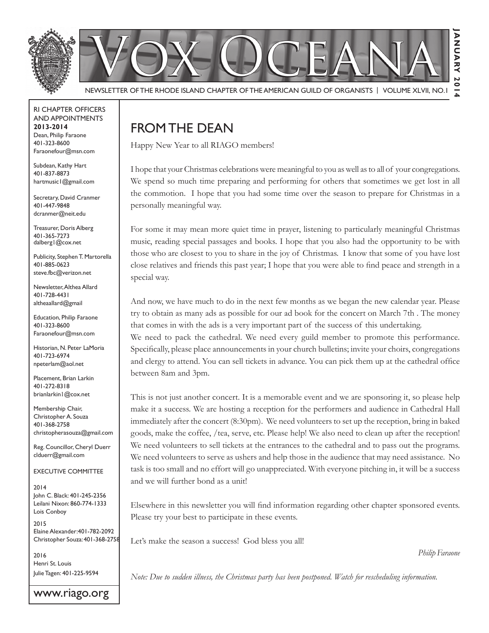

#### RI Chapter Officers and Appointments **2013-2014** Dean, Philip Faraone 401-323-8600 Faraonefour@msn.com

Subdean, Kathy Hart 401-837-8873 hartmusic1@gmail.com

Secretary, David Cranmer 401-447-9848 dcranmer@neit.edu

Treasurer, Doris Alberg 401-365-7273 dalberg1@cox.net

Publicity, Stephen T. Martorella 401-885-0623 steve.fbc@verizon.net

Newsletter, Althea Allard 401-728-4431 altheaallard@gmail

Education, Philip Faraone 401-323-8600 Faraonefour@msn.com

Historian, N. Peter LaMoria 401-723-6974 npeterlam@aol.net

Placement, Brian Larkin 401-272-8318 brianlarkin1@cox.net

Membership Chair, Christopher A. Souza 401-368-2758 christopherasouza@gmail.com

Reg. Councillor, Cheryl Duerr clduerr@gmail.com

Executive Committee

2014 John C. Black: 401-245-2356 Leilani Nixon: 860-774-1333 Lois Conboy

2015 Elaine Alexander:401-782-2092 Christopher Souza: 401-368-2758

2016 Henri St. Louis Julie Tagen: 401-225-9594

www.riago.org

# From the Dean

Happy New Year to all RIAGO members!

I hope that your Christmas celebrations were meaningful to you as well as to all of your congregations. We spend so much time preparing and performing for others that sometimes we get lost in all the commotion. I hope that you had some time over the season to prepare for Christmas in a personally meaningful way.

For some it may mean more quiet time in prayer, listening to particularly meaningful Christmas music, reading special passages and books. I hope that you also had the opportunity to be with those who are closest to you to share in the joy of Christmas. I know that some of you have lost close relatives and friends this past year; I hope that you were able to find peace and strength in a special way.

And now, we have much to do in the next few months as we began the new calendar year. Please try to obtain as many ads as possible for our ad book for the concert on March 7th . The money that comes in with the ads is a very important part of the success of this undertaking.

We need to pack the cathedral. We need every guild member to promote this performance. Specifically, please place announcements in your church bulletins; invite your choirs, congregations and clergy to attend. You can sell tickets in advance. You can pick them up at the cathedral office between 8am and 3pm.

This is not just another concert. It is a memorable event and we are sponsoring it, so please help make it a success. We are hosting a reception for the performers and audience in Cathedral Hall immediately after the concert (8:30pm). We need volunteers to set up the reception, bring in baked goods, make the coffee, /tea, serve, etc. Please help! We also need to clean up after the reception! We need volunteers to sell tickets at the entrances to the cathedral and to pass out the programs. We need volunteers to serve as ushers and help those in the audience that may need assistance. No task is too small and no effort will go unappreciated. With everyone pitching in, it will be a success and we will further bond as a unit!

Elsewhere in this newsletter you will find information regarding other chapter sponsored events. Please try your best to participate in these events.

Let's make the season a success! God bless you all!

 *Philip Faraone*

*Note: Due to sudden illness, the Christmas party has been postponed. Watch for rescheduling information.*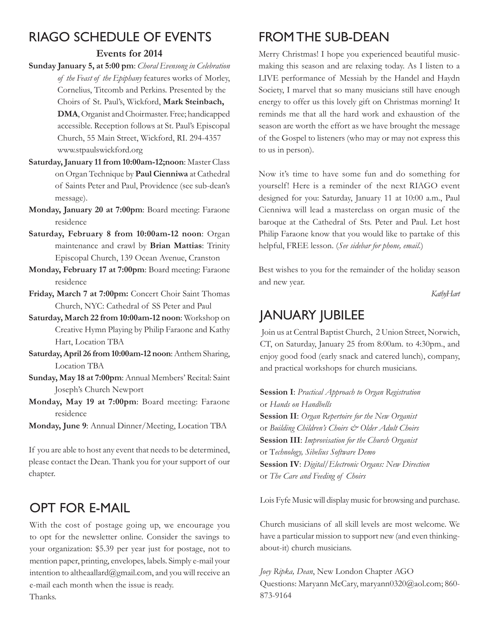# RIAGO Schedule of Events

### **Events for 2014**

- **Sunday January 5, at 5:00 pm**: *Choral Evensong in Celebration of the Feast of the Epiphany* features works of Morley, Cornelius, Titcomb and Perkins. Presented by the Choirs of St. Paul's, Wickford, **Mark Steinbach, DMA**, Organist and Choirmaster. Free; handicapped accessible. Reception follows at St. Paul's Episcopal Church, 55 Main Street, Wickford, RI. 294-4357 www.stpaulswickford.org
- **Saturday, January 11 from 10:00am-12;noon**: Master Class on Organ Technique by **Paul Cienniwa** at Cathedral of Saints Peter and Paul, Providence (see sub-dean's message).
- **Monday, January 20 at 7:00pm**: Board meeting: Faraone residence
- **Saturday, February 8 from 10:00am-12 noon**: Organ maintenance and crawl by **Brian Mattias**: Trinity Episcopal Church, 139 Ocean Avenue, Cranston
- **Monday, February 17 at 7:00pm**: Board meeting: Faraone residence
- **Friday, March 7 at 7:00pm:** Concert Choir Saint Thomas Church, NYC: Cathedral of SS Peter and Paul
- **Saturday, March 22 from 10:00am-12 noon**: Workshop on Creative Hymn Playing by Philip Faraone and Kathy Hart, Location TBA
- **Saturday, April 26 from 10:00am-12 noon**: Anthem Sharing, Location TBA
- **Sunday, May 18 at 7:00pm**: Annual Members' Recital: Saint Joseph's Church Newport
- **Monday, May 19 at 7:00pm**: Board meeting: Faraone residence
- **Monday, June 9**: Annual Dinner/Meeting, Location TBA

If you are able to host any event that needs to be determined, please contact the Dean. Thank you for your support of our chapter.

# Opt for e-mail

With the cost of postage going up, we encourage you to opt for the newsletter online. Consider the savings to your organization: \$5.39 per year just for postage, not to mention paper, printing, envelopes, labels. Simply e-mail your intention to altheaallard@gmail.com, and you will receive an e-mail each month when the issue is ready. Thanks.

# From the Sub-Dean

Merry Christmas! I hope you experienced beautiful musicmaking this season and are relaxing today. As I listen to a LIVE performance of Messiah by the Handel and Haydn Society, I marvel that so many musicians still have enough energy to offer us this lovely gift on Christmas morning! It reminds me that all the hard work and exhaustion of the season are worth the effort as we have brought the message of the Gospel to listeners (who may or may not express this to us in person).

Now it's time to have some fun and do something for yourself! Here is a reminder of the next RIAGO event designed for you: Saturday, January 11 at 10:00 a.m., Paul Cienniwa will lead a masterclass on organ music of the baroque at the Cathedral of Sts. Peter and Paul. Let host Philip Faraone know that you would like to partake of this helpful, FREE lesson. (*See sidebar for phone, email*.)

Best wishes to you for the remainder of the holiday season and new year.

 *Kathy Hart*

# January Jubilee

 Join us at Central Baptist Church, 2 Union Street, Norwich, CT, on Saturday, January 25 from 8:00am. to 4:30pm., and enjoy good food (early snack and catered lunch), company, and practical workshops for church musicians.

**Session I**: *Practical Approach to Organ Registration* or *Hands on Handbells* **Session II**: *Organ Repertoire for the New Organist* or *Building Children's Choirs & Older Adult Choirs* **Session III**: *Improvisation for the Church Organist* or T*echnology, Sibelius Software Demo* **Session IV**: *Digital/Electronic Organs: New Direction* or *The Care and Feeding of Choirs*

Lois Fyfe Music will display music for browsing and purchase.

Church musicians of all skill levels are most welcome. We have a particular mission to support new (and even thinkingabout-it) church musicians.

*Joey Ripka, Dean*, New London Chapter AGO Questions: Maryann McCary, maryann0320@aol.com; 860-873-9164